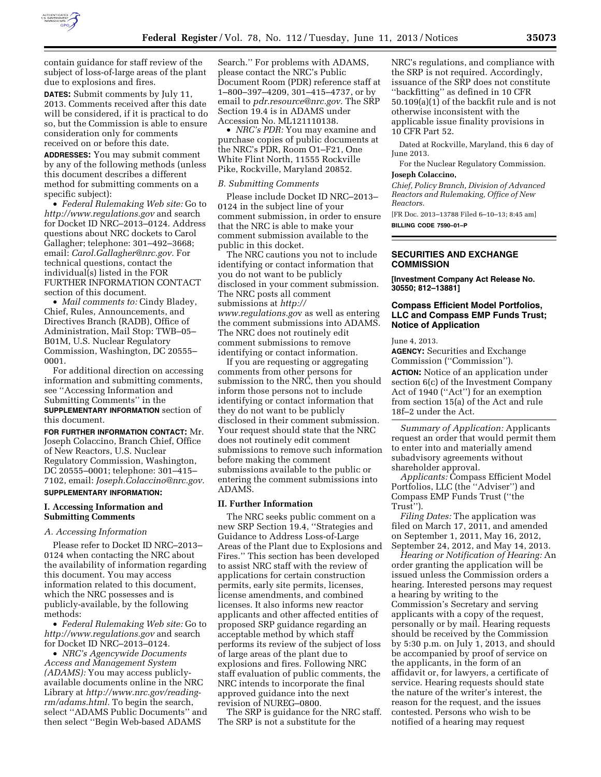

contain guidance for staff review of the subject of loss-of-large areas of the plant due to explosions and fires.

**DATES:** Submit comments by July 11, 2013. Comments received after this date will be considered, if it is practical to do so, but the Commission is able to ensure consideration only for comments received on or before this date.

**ADDRESSES:** You may submit comment by any of the following methods (unless this document describes a different method for submitting comments on a specific subject):

• *Federal Rulemaking Web site:* Go to *<http://www.regulations.gov>* and search for Docket ID NRC–2013–0124. Address questions about NRC dockets to Carol Gallagher; telephone: 301–492–3668; email: *[Carol.Gallagher@nrc.gov.](mailto:Carol.Gallagher@nrc.gov)* For technical questions, contact the individual(s) listed in the FOR FURTHER INFORMATION CONTACT section of this document.

• *Mail comments to:* Cindy Bladey, Chief, Rules, Announcements, and Directives Branch (RADB), Office of Administration, Mail Stop: TWB–05– B01M, U.S. Nuclear Regulatory Commission, Washington, DC 20555– 0001.

For additional direction on accessing information and submitting comments, see ''Accessing Information and Submitting Comments'' in the **SUPPLEMENTARY INFORMATION** section of this document.

**FOR FURTHER INFORMATION CONTACT:** Mr. Joseph Colaccino, Branch Chief, Office of New Reactors, U.S. Nuclear Regulatory Commission, Washington, DC 20555–0001; telephone: 301–415– 7102, email: *[Joseph.Colaccino@nrc.gov.](mailto:Joseph.Colaccino@nrc.gov)*  **SUPPLEMENTARY INFORMATION:** 

# **I. Accessing Information and Submitting Comments**

#### *A. Accessing Information*

Please refer to Docket ID NRC–2013– 0124 when contacting the NRC about the availability of information regarding this document. You may access information related to this document, which the NRC possesses and is publicly-available, by the following methods:

• *Federal Rulemaking Web site:* Go to *<http://www.regulations.gov>* and search for Docket ID NRC–2013–0124.

• *NRC's Agencywide Documents Access and Management System (ADAMS):* You may access publiclyavailable documents online in the NRC Library at *[http://www.nrc.gov/reading](http://www.nrc.gov/reading-rm/adams.html)[rm/adams.html.](http://www.nrc.gov/reading-rm/adams.html)* To begin the search, select ''ADAMS Public Documents'' and then select ''Begin Web-based ADAMS

Search.'' For problems with ADAMS, please contact the NRC's Public Document Room (PDR) reference staff at 1–800–397–4209, 301–415–4737, or by email to *[pdr.resource@nrc.gov.](mailto:pdr.resource@nrc.gov)* The SRP Section 19.4 is in ADAMS under Accession No. ML121110138.

• *NRC's PDR:* You may examine and purchase copies of public documents at the NRC's PDR, Room O1–F21, One White Flint North, 11555 Rockville Pike, Rockville, Maryland 20852.

## *B. Submitting Comments*

Please include Docket ID NRC–2013– 0124 in the subject line of your comment submission, in order to ensure that the NRC is able to make your comment submission available to the public in this docket.

The NRC cautions you not to include identifying or contact information that you do not want to be publicly disclosed in your comment submission. The NRC posts all comment submissions at *[http://](http://www.regulations.gov)  [www.regulations.go](http://www.regulations.gov)*v as well as entering the comment submissions into ADAMS. The NRC does not routinely edit comment submissions to remove identifying or contact information.

If you are requesting or aggregating comments from other persons for submission to the NRC, then you should inform those persons not to include identifying or contact information that they do not want to be publicly disclosed in their comment submission. Your request should state that the NRC does not routinely edit comment submissions to remove such information before making the comment submissions available to the public or entering the comment submissions into ADAMS.

### **II. Further Information**

The NRC seeks public comment on a new SRP Section 19.4, ''Strategies and Guidance to Address Loss-of-Large Areas of the Plant due to Explosions and Fires.'' This section has been developed to assist NRC staff with the review of applications for certain construction permits, early site permits, licenses, license amendments, and combined licenses. It also informs new reactor applicants and other affected entities of proposed SRP guidance regarding an acceptable method by which staff performs its review of the subject of loss of large areas of the plant due to explosions and fires. Following NRC staff evaluation of public comments, the NRC intends to incorporate the final approved guidance into the next revision of NUREG–0800.

The SRP is guidance for the NRC staff. The SRP is not a substitute for the

NRC's regulations, and compliance with the SRP is not required. Accordingly, issuance of the SRP does not constitute ''backfitting'' as defined in 10 CFR 50.109(a)(1) of the backfit rule and is not otherwise inconsistent with the applicable issue finality provisions in 10 CFR Part 52.

Dated at Rockville, Maryland, this 6 day of June 2013.

For the Nuclear Regulatory Commission. **Joseph Colaccino,** 

*Chief, Policy Branch, Division of Advanced Reactors and Rulemaking, Office of New Reactors.* 

[FR Doc. 2013–13788 Filed 6–10–13; 8:45 am] **BILLING CODE 7590–01–P** 

### **SECURITIES AND EXCHANGE COMMISSION**

**[Investment Company Act Release No. 30550; 812–13881]** 

## **Compass Efficient Model Portfolios, LLC and Compass EMP Funds Trust; Notice of Application**

June 4, 2013.

**AGENCY:** Securities and Exchange Commission (''Commission''). **ACTION:** Notice of an application under section 6(c) of the Investment Company Act of 1940 (''Act'') for an exemption from section 15(a) of the Act and rule 18f–2 under the Act.

*Summary of Application:* Applicants request an order that would permit them to enter into and materially amend subadvisory agreements without shareholder approval.

*Applicants:* Compass Efficient Model Portfolios, LLC (the ''Adviser'') and Compass EMP Funds Trust (''the Trust'').

*Filing Dates:* The application was filed on March 17, 2011, and amended on September 1, 2011, May 16, 2012, September 24, 2012, and May 14, 2013.

*Hearing or Notification of Hearing:* An order granting the application will be issued unless the Commission orders a hearing. Interested persons may request a hearing by writing to the Commission's Secretary and serving applicants with a copy of the request, personally or by mail. Hearing requests should be received by the Commission by 5:30 p.m. on July 1, 2013, and should be accompanied by proof of service on the applicants, in the form of an affidavit or, for lawyers, a certificate of service. Hearing requests should state the nature of the writer's interest, the reason for the request, and the issues contested. Persons who wish to be notified of a hearing may request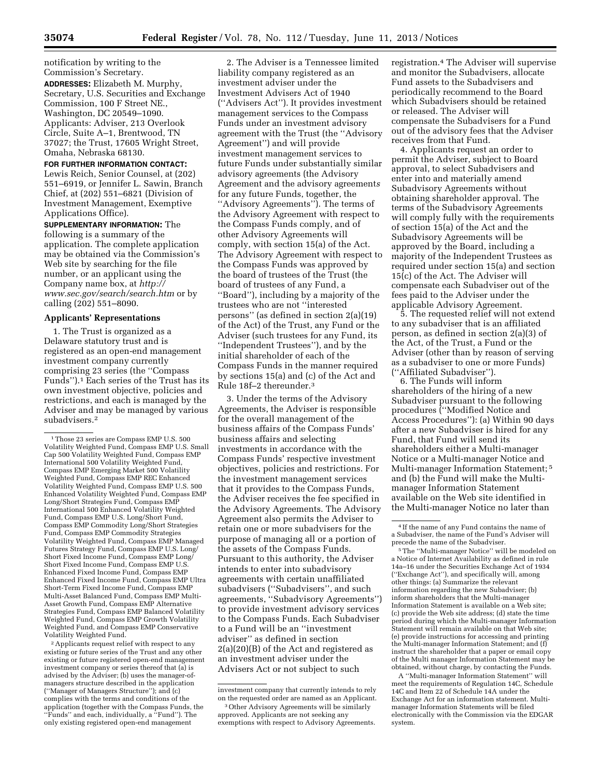notification by writing to the Commission's Secretary. **ADDRESSES:** Elizabeth M. Murphy,

Secretary, U.S. Securities and Exchange Commission, 100 F Street NE., Washington, DC 20549–1090. Applicants: Adviser, 213 Overlook Circle, Suite A–1, Brentwood, TN 37027; the Trust, 17605 Wright Street, Omaha, Nebraska 68130.

**FOR FURTHER INFORMATION CONTACT:**  Lewis Reich, Senior Counsel, at (202) 551–6919, or Jennifer L. Sawin, Branch Chief, at (202) 551–6821 (Division of Investment Management, Exemptive Applications Office).

**SUPPLEMENTARY INFORMATION:** The following is a summary of the application. The complete application may be obtained via the Commission's Web site by searching for the file number, or an applicant using the Company name box, at *[http://](http://www.sec.gov/search/search.htm) [www.sec.gov/search/search.htm](http://www.sec.gov/search/search.htm)* or by calling (202) 551–8090.

# **Applicants' Representations**

1. The Trust is organized as a Delaware statutory trust and is registered as an open-end management investment company currently comprising 23 series (the ''Compass Funds'').1 Each series of the Trust has its own investment objective, policies and restrictions, and each is managed by the Adviser and may be managed by various subadvisers.2

2Applicants request relief with respect to any existing or future series of the Trust and any other existing or future registered open-end management investment company or series thereof that (a) is advised by the Adviser; (b) uses the manager-ofmanagers structure described in the application (''Manager of Managers Structure''); and (c) complies with the terms and conditions of the application (together with the Compass Funds, the 'Funds'' and each, individually, a "Fund"). The only existing registered open-end management

2. The Adviser is a Tennessee limited liability company registered as an investment adviser under the Investment Advisers Act of 1940 (''Advisers Act''). It provides investment management services to the Compass Funds under an investment advisory agreement with the Trust (the ''Advisory Agreement'') and will provide investment management services to future Funds under substantially similar advisory agreements (the Advisory Agreement and the advisory agreement*s*  for any future Funds, together, the ''Advisory Agreements''). The terms of the Advisory Agreement with respect to the Compass Funds comply, and of other Advisory Agreements will comply, with section 15(a) of the Act. The Advisory Agreement with respect to the Compass Funds was approved by the board of trustees of the Trust (the board of trustees of any Fund, a ''Board''), including by a majority of the trustees who are not ''interested persons'' (as defined in section 2(a)(19) of the Act) of the Trust, any Fund or the Adviser (such trustees for any Fund, its ''Independent Trustees''), and by the initial shareholder of each of the Compass Funds in the manner required by sections 15(a) and (c) of the Act and Rule 18f–2 thereunder.3

3. Under the terms of the Advisory Agreements, the Adviser is responsible for the overall management of the business affairs of the Compass Funds' business affairs and selecting investments in accordance with the Compass Funds' respective investment objectives, policies and restrictions. For the investment management services that it provides to the Compass Funds, the Adviser receives the fee specified in the Advisory Agreements. The Advisory Agreement also permits the Adviser to retain one or more subadvisers for the purpose of managing all or a portion of the assets of the Compass Funds. Pursuant to this authority, the Adviser intends to enter into subadvisory agreements with certain unaffiliated subadvisers (''Subadvisers'', and such agreements, ''Subadvisory Agreements'') to provide investment advisory services to the Compass Funds. Each Subadviser to a Fund will be an ''investment adviser'' as defined in section 2(a)(20)(B) of the Act and registered as an investment adviser under the Advisers Act or not subject to such

registration.4 The Adviser will supervise and monitor the Subadvisers, allocate Fund assets to the Subadvisers and periodically recommend to the Board which Subadvisers should be retained or released. The Adviser will compensate the Subadvisers for a Fund out of the advisory fees that the Adviser receives from that Fund.

4. Applicants request an order to permit the Adviser, subject to Board approval, to select Subadvisers and enter into and materially amend Subadvisory Agreements without obtaining shareholder approval. The terms of the Subadvisory Agreements will comply fully with the requirements of section 15(a) of the Act and the Subadvisory Agreements will be approved by the Board, including a majority of the Independent Trustees as required under section 15(a) and section 15(c) of the Act. The Adviser will compensate each Subadviser out of the fees paid to the Adviser under the applicable Advisory Agreement.

5. The requested relief will not extend to any subadviser that is an affiliated person, as defined in section 2(a)(3) of the Act, of the Trust, a Fund or the Adviser (other than by reason of serving as a subadviser to one or more Funds) (''Affiliated Subadviser'').

6. The Funds will inform shareholders of the hiring of a new Subadviser pursuant to the following procedures (''Modified Notice and Access Procedures''): (a) Within 90 days after a new Subadviser is hired for any Fund, that Fund will send its shareholders either a Multi-manager Notice or a Multi-manager Notice and Multi-manager Information Statement; 5 and (b) the Fund will make the Multimanager Information Statement available on the Web site identified in the Multi-manager Notice no later than

 $^{\rm 1}\rm$  Those 23 series are Compass EMP U.S. 500 Volatility Weighted Fund, Compass EMP U.S. Small Cap 500 Volatility Weighted Fund, Compass EMP International 500 Volatility Weighted Fund, Compass EMP Emerging Market 500 Volatility Weighted Fund, Compass EMP REC Enhanced Volatility Weighted Fund, Compass EMP U.S. 500 Enhanced Volatility Weighted Fund, Compass EMP Long/Short Strategies Fund, Compass EMP International 500 Enhanced Volatility Weighted Fund, Compass EMP U.S. Long/Short Fund, Compass EMP Commodity Long/Short Strategies Fund, Compass EMP Commodity Strategies Volatility Weighted Fund, Compass EMP Managed Futures Strategy Fund, Compass EMP U.S. Long/ Short Fixed Income Fund, Compass EMP Long/ Short Fixed Income Fund, Compass EMP U.S. Enhanced Fixed Income Fund, Compass EMP Enhanced Fixed Income Fund, Compass EMP Ultra Short-Term Fixed Income Fund, Compass EMP Multi-Asset Balanced Fund, Compass EMP Multi-Asset Growth Fund, Compass EMP Alternative Strategies Fund, Compass EMP Balanced Volatility Weighted Fund, Compass EMP Growth Volatility Weighted Fund, and Compass EMP Conservative Volatility Weighted Fund.

investment company that currently intends to rely on the requested order are named as an Applicant.

<sup>3</sup>Other Advisory Agreements will be similarly approved. Applicants are not seeking any exemptions with respect to Advisory Agreements.

<sup>4</sup> If the name of any Fund contains the name of a Subadviser, the name of the Fund's Adviser will

<sup>&</sup>lt;sup>5</sup> The "Multi-manager Notice" will be modeled on a Notice of Internet Availability as defined in rule 14a–16 under the Securities Exchange Act of 1934 (''Exchange Act''), and specifically will, among other things: (a) Summarize the relevant information regarding the new Subadviser; (b) inform shareholders that the Multi-manager Information Statement is available on a Web site; (c) provide the Web site address; (d) state the time period during which the Multi-manager Information Statement will remain available on that Web site; (e) provide instructions for accessing and printing the Multi-manager Information Statement; and (f) instruct the shareholder that a paper or email copy of the Multi manager Information Statement may be obtained, without charge, by contacting the Funds.

A ''Multi-manager Information Statement'' will meet the requirements of Regulation 14C, Schedule 14C and Item 22 of Schedule 14A under the Exchange Act for an information statement. Multimanager Information Statements will be filed electronically with the Commission via the EDGAR system.